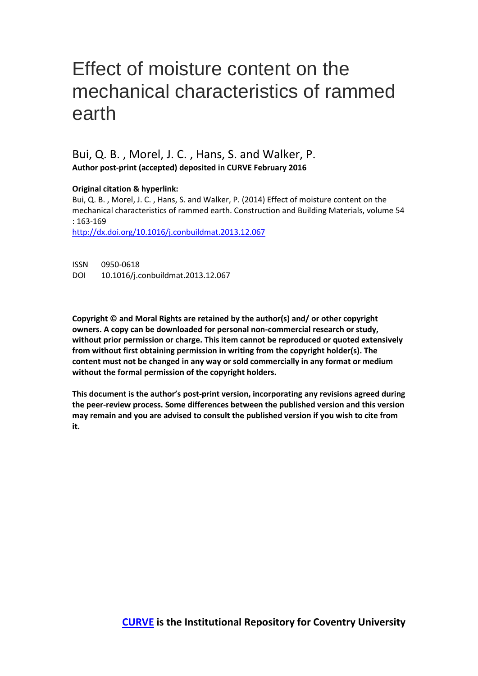# Effect of moisture content on the mechanical characteristics of rammed earth

Bui, Q. B. , Morel, J. C. , Hans, S. and Walker, P. **Author post-print (accepted) deposited in CURVE February 2016**

**Original citation & hyperlink:**

Bui, Q. B. , Morel, J. C. , Hans, S. and Walker, P. (2014) Effect of moisture content on the mechanical characteristics of rammed earth. Construction and Building Materials, volume 54 : 163-169

[http://dx.doi.org/10.1016/j.conbuildmat.2013.12.067](http://dx.doi.org/10.1016/j.engstruct.2014.05.048)

ISSN 0950-0618 DOI 10.1016/j.conbuildmat.2013.12.067

**Copyright © and Moral Rights are retained by the author(s) and/ or other copyright owners. A copy can be downloaded for personal non-commercial research or study, without prior permission or charge. This item cannot be reproduced or quoted extensively from without first obtaining permission in writing from the copyright holder(s). The content must not be changed in any way or sold commercially in any format or medium without the formal permission of the copyright holders.** 

**This document is the author's post-print version, incorporating any revisions agreed during the peer-review process. Some differences between the published version and this version may remain and you are advised to consult the published version if you wish to cite from it.**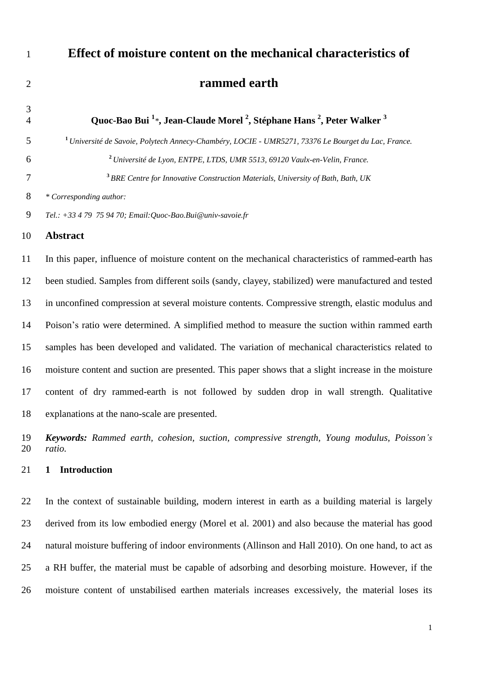# **Effect of moisture content on the mechanical characteristics of rammed earth**

 **Quoc-Bao Bui <sup>1</sup>** *\****, Jean-Claude Morel <sup>2</sup> , Stéphane Hans <sup>2</sup> , Peter Walker <sup>3</sup>** *Université de Savoie, Polytech Annecy-Chambéry, LOCIE - UMR5271, 73376 Le Bourget du Lac, France. Université de Lyon, ENTPE, LTDS, UMR 5513, 69120 Vaulx-en-Velin, France. BRE Centre for Innovative Construction Materials, University of Bath, Bath, UK \* Corresponding author: Tel.: +33 4 79 75 94 70; Email:Quoc-Bao.Bui@univ-savoie.fr*

**Abstract**

 In this paper, influence of moisture content on the mechanical characteristics of rammed-earth has been studied. Samples from different soils (sandy, clayey, stabilized) were manufactured and tested in unconfined compression at several moisture contents. Compressive strength, elastic modulus and Poison's ratio were determined. A simplified method to measure the suction within rammed earth samples has been developed and validated. The variation of mechanical characteristics related to moisture content and suction are presented. This paper shows that a slight increase in the moisture content of dry rammed-earth is not followed by sudden drop in wall strength. Qualitative explanations at the nano-scale are presented.

 *Keywords: Rammed earth, cohesion, suction, compressive strength, Young modulus, Poisson's ratio.*

## **1 Introduction**

 In the context of sustainable building, modern interest in earth as a building material is largely derived from its low embodied energy (Morel et al. 2001) and also because the material has good natural moisture buffering of indoor environments (Allinson and Hall 2010). On one hand, to act as a RH buffer, the material must be capable of adsorbing and desorbing moisture. However, if the moisture content of unstabilised earthen materials increases excessively, the material loses its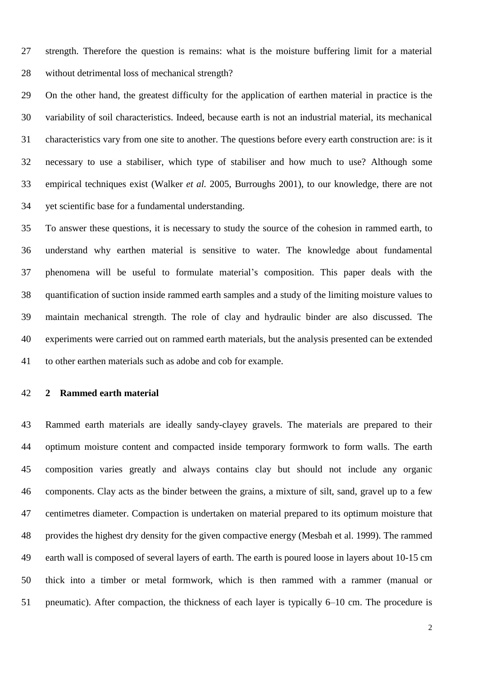strength. Therefore the question is remains: what is the moisture buffering limit for a material without detrimental loss of mechanical strength?

 On the other hand, the greatest difficulty for the application of earthen material in practice is the variability of soil characteristics. Indeed, because earth is not an industrial material, its mechanical characteristics vary from one site to another. The questions before every earth construction are: is it necessary to use a stabiliser, which type of stabiliser and how much to use? Although some empirical techniques exist (Walker *et al.* 2005, Burroughs 2001), to our knowledge, there are not yet scientific base for a fundamental understanding.

 To answer these questions, it is necessary to study the source of the cohesion in rammed earth, to understand why earthen material is sensitive to water. The knowledge about fundamental phenomena will be useful to formulate material's composition. This paper deals with the quantification of suction inside rammed earth samples and a study of the limiting moisture values to maintain mechanical strength. The role of clay and hydraulic binder are also discussed. The experiments were carried out on rammed earth materials, but the analysis presented can be extended to other earthen materials such as adobe and cob for example.

### **2 Rammed earth material**

 Rammed earth materials are ideally sandy-clayey gravels. The materials are prepared to their optimum moisture content and compacted inside temporary formwork to form walls. The earth composition varies greatly and always contains clay but should not include any organic components. Clay acts as the binder between the grains, a mixture of silt, sand, gravel up to a few centimetres diameter. Compaction is undertaken on material prepared to its optimum moisture that provides the highest dry density for the given compactive energy (Mesbah et al. 1999). The rammed earth wall is composed of several layers of earth. The earth is poured loose in layers about 10-15 cm thick into a timber or metal formwork, which is then rammed with a rammer (manual or pneumatic). After compaction, the thickness of each layer is typically 6–10 cm. The procedure is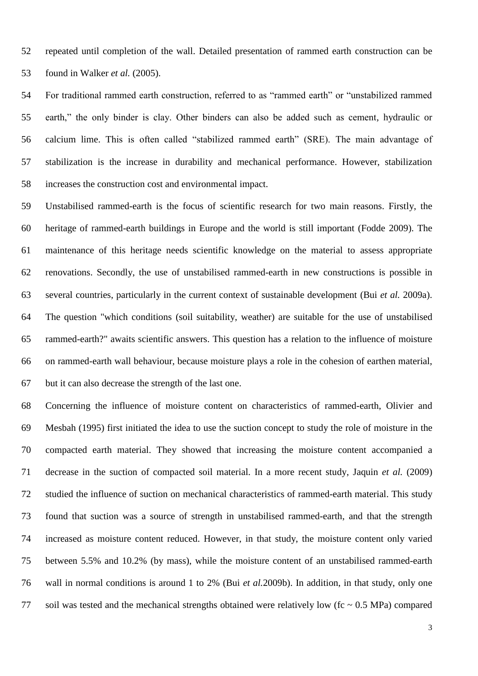repeated until completion of the wall. Detailed presentation of rammed earth construction can be found in Walker *et al.* (2005).

 For traditional rammed earth construction, referred to as "rammed earth" or "unstabilized rammed earth," the only binder is clay. Other binders can also be added such as cement, hydraulic or calcium lime. This is often called "stabilized rammed earth" (SRE). The main advantage of stabilization is the increase in durability and mechanical performance. However, stabilization increases the construction cost and environmental impact.

 Unstabilised rammed-earth is the focus of scientific research for two main reasons. Firstly, the heritage of rammed-earth buildings in Europe and the world is still important (Fodde 2009). The maintenance of this heritage needs scientific knowledge on the material to assess appropriate renovations. Secondly, the use of unstabilised rammed-earth in new constructions is possible in several countries, particularly in the current context of sustainable development (Bui *et al.* 2009a). The question "which conditions (soil suitability, weather) are suitable for the use of unstabilised rammed-earth?" awaits scientific answers. This question has a relation to the influence of moisture on rammed-earth wall behaviour, because moisture plays a role in the cohesion of earthen material, but it can also decrease the strength of the last one.

 Concerning the influence of moisture content on characteristics of rammed-earth, Olivier and Mesbah (1995) first initiated the idea to use the suction concept to study the role of moisture in the compacted earth material. They showed that increasing the moisture content accompanied a decrease in the suction of compacted soil material. In a more recent study, Jaquin *et al.* (2009) studied the influence of suction on mechanical characteristics of rammed-earth material. This study found that suction was a source of strength in unstabilised rammed-earth, and that the strength increased as moisture content reduced. However, in that study, the moisture content only varied between 5.5% and 10.2% (by mass), while the moisture content of an unstabilised rammed-earth wall in normal conditions is around 1 to 2% (Bui *et al.*2009b). In addition, in that study, only one 77 soil was tested and the mechanical strengths obtained were relatively low (fc  $\sim 0.5$  MPa) compared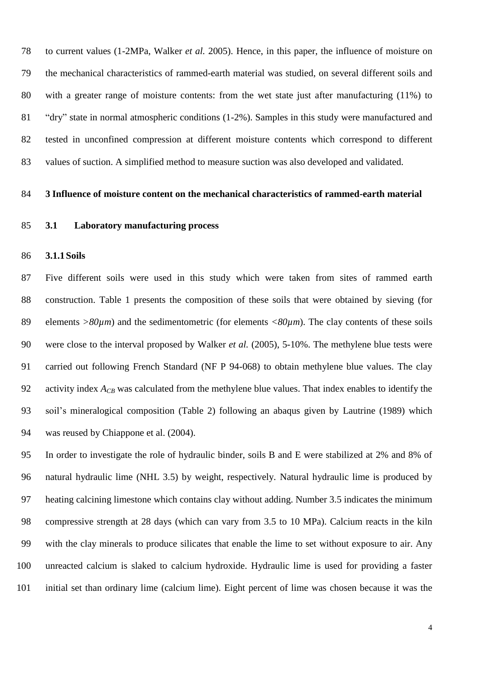to current values (1-2MPa, Walker *et al.* 2005). Hence, in this paper, the influence of moisture on the mechanical characteristics of rammed-earth material was studied, on several different soils and with a greater range of moisture contents: from the wet state just after manufacturing (11%) to "dry" state in normal atmospheric conditions (1-2%). Samples in this study were manufactured and tested in unconfined compression at different moisture contents which correspond to different values of suction. A simplified method to measure suction was also developed and validated.

#### **3 Influence of moisture content on the mechanical characteristics of rammed-earth material**

**3.1 Laboratory manufacturing process**

#### **3.1.1Soils**

 Five different soils were used in this study which were taken from sites of rammed earth construction. [Table 1](#page-5-0) presents the composition of these soils that were obtained by sieving (for elements *>80µm*) and the sedimentometric (for elements *<80µm*). The clay contents of these soils were close to the interval proposed by Walker *et al.* (2005), 5-10%. The methylene blue tests were carried out following French Standard (NF P 94-068) to obtain methylene blue values. The clay 92 activity index  $A_{CB}$  was calculated from the methylene blue values. That index enables to identify the soil's mineralogical composition [\(Table 2\)](#page-5-1) following an abaqus given by Lautrine (1989) which was reused by Chiappone et al. (2004).

 In order to investigate the role of hydraulic binder, soils B and E were stabilized at 2% and 8% of natural hydraulic lime (NHL 3.5) by weight, respectively. Natural hydraulic lime is produced by heating calcining limestone which contains [clay](http://en.wikipedia.org/wiki/Clay) without adding. Number 3.5 indicates the minimum compressive strength at 28 days (which can vary from 3.5 to 10 MPa). Calcium reacts in the kiln with the clay minerals to produce [silicates](http://en.wikipedia.org/wiki/Belite) that enable the lime to set without exposure to air. Any unreacted calcium is slaked to [calcium hydroxide.](http://en.wikipedia.org/wiki/Calcium_hydroxide) Hydraulic lime is used for providing a faster initial set than ordinary lime (calcium lime). Eight percent of lime was chosen because it was the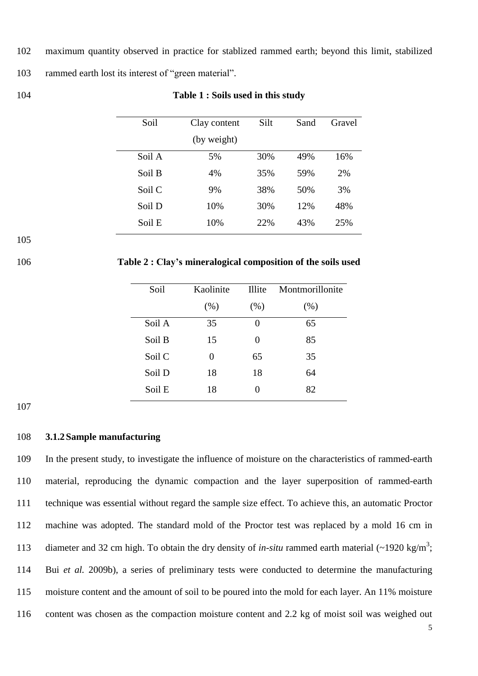- 102 maximum quantity observed in practice for stablized rammed earth; beyond this limit, stabilized
- 103 rammed earth lost its interest of "green material".
- <span id="page-5-0"></span>

#### 104 **Table 1 : Soils used in this study**

| Soil   | Clay content | Silt | Sand | Gravel |
|--------|--------------|------|------|--------|
|        | (by weight)  |      |      |        |
| Soil A | 5%           | 30%  | 49%  | 16%    |
| Soil B | 4%           | 35%  | 59%  | 2%     |
| Soil C | 9%           | 38%  | 50%  | 3%     |
| Soil D | 10%          | 30%  | 12%  | 48%    |
| Soil E | 10%          | 22%  | 43%  | 25%    |

105

<span id="page-5-1"></span>106 **Table 2 : Clay's mineralogical composition of the soils used**

| Soil   | Kaolinite | <b>Illite</b> | Montmorillonite |  |
|--------|-----------|---------------|-----------------|--|
|        | (% )      | (% )          | (% )            |  |
| Soil A | 35        |               | 65              |  |
| Soil B | 15        | 0             | 85              |  |
| Soil C | 0         | 65            | 35              |  |
| Soil D | 18        | 18            | 64              |  |
| Soil E | 18        |               | 82              |  |

107

## 108 **3.1.2Sample manufacturing**

 In the present study, to investigate the influence of moisture on the characteristics of rammed-earth material, reproducing the dynamic compaction and the layer superposition of rammed-earth technique was essential without regard the sample size effect. To achieve this, an automatic Proctor machine was adopted. The standard mold of the Proctor test was replaced by a mold 16 cm in 113 diameter and 32 cm high. To obtain the dry density of *in-situ* rammed earth material  $\left(\sim 1920 \text{ kg/m}^3\right)$ ; Bui *et al.* 2009b), a series of preliminary tests were conducted to determine the manufacturing moisture content and the amount of soil to be poured into the mold for each layer. An 11% moisture content was chosen as the compaction moisture content and 2.2 kg of moist soil was weighed out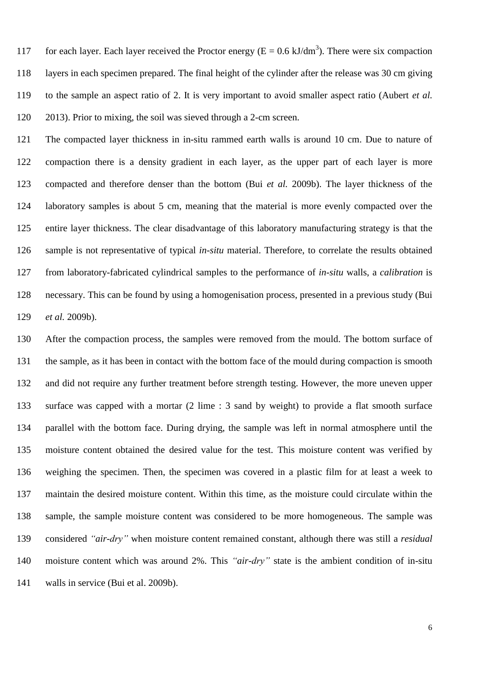117 for each layer. Each layer received the Proctor energy ( $E = 0.6 \text{ kJ/dm}^3$ ). There were six compaction layers in each specimen prepared. The final height of the cylinder after the release was 30 cm giving to the sample an aspect ratio of 2. It is very important to avoid smaller aspect ratio (Aubert *et al.* 2013). Prior to mixing, the soil was sieved through a 2-cm screen.

 The compacted layer thickness in in-situ rammed earth walls is around 10 cm. Due to nature of compaction there is a density gradient in each layer, as the upper part of each layer is more compacted and therefore denser than the bottom (Bui *et al.* 2009b). The layer thickness of the laboratory samples is about 5 cm, meaning that the material is more evenly compacted over the entire layer thickness. The clear disadvantage of this laboratory manufacturing strategy is that the sample is not representative of typical *in-situ* material. Therefore, to correlate the results obtained from laboratory-fabricated cylindrical samples to the performance of *in-situ* walls, a *calibration* is necessary. This can be found by using a homogenisation process, presented in a previous study (Bui *et al.* 2009b).

 After the compaction process, the samples were removed from the mould. The bottom surface of the sample, as it has been in contact with the bottom face of the mould during compaction is smooth and did not require any further treatment before strength testing. However, the more uneven upper surface was capped with a mortar (2 lime : 3 sand by weight) to provide a flat smooth surface parallel with the bottom face. During drying, the sample was left in normal atmosphere until the moisture content obtained the desired value for the test. This moisture content was verified by weighing the specimen. Then, the specimen was covered in a plastic film for at least a week to maintain the desired moisture content. Within this time, as the moisture could circulate within the sample, the sample moisture content was considered to be more homogeneous. The sample was considered *"air-dry"* when moisture content remained constant, although there was still a *residual* moisture content which was around 2%. This *"air-dry"* state is the ambient condition of in-situ walls in service (Bui et al. 2009b).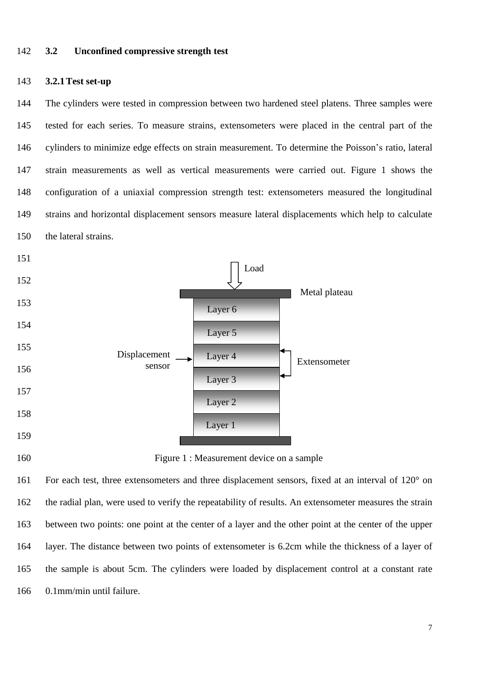#### **3.2 Unconfined compressive strength test**

#### **3.2.1Test set-up**

 The cylinders were tested in compression between two hardened steel platens. Three samples were tested for each series. To measure strains, extensometers were placed in the central part of the cylinders to minimize edge effects on strain measurement. To determine the Poisson's ratio, lateral strain measurements as well as vertical measurements were carried out. [Figure 1](#page-7-0) shows the configuration of a uniaxial compression strength test: extensometers measured the longitudinal strains and horizontal displacement sensors measure lateral displacements which help to calculate the lateral strains.



<span id="page-7-0"></span>Figure 1 : Measurement device on a sample

 For each test, three extensometers and three displacement sensors, fixed at an interval of 120° on the radial plan, were used to verify the repeatability of results. An extensometer measures the strain between two points: one point at the center of a layer and the other point at the center of the upper layer. The distance between two points of extensometer is 6.2cm while the thickness of a layer of the sample is about 5cm. The cylinders were loaded by displacement control at a constant rate 0.1mm/min until failure.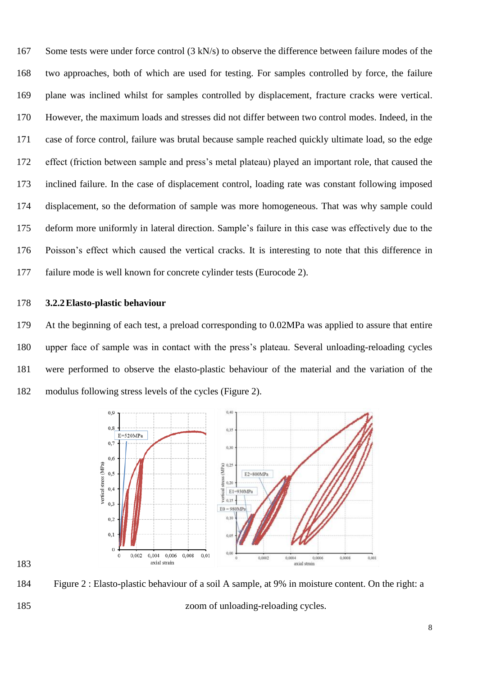167 Some tests were under force control (3 kN/s) to observe the difference between failure modes of the two approaches, both of which are used for testing. For samples controlled by force, the failure plane was inclined whilst for samples controlled by displacement, fracture cracks were vertical. However, the maximum loads and stresses did not differ between two control modes. Indeed, in the case of force control, failure was brutal because sample reached quickly ultimate load, so the edge effect (friction between sample and press's metal plateau) played an important role, that caused the inclined failure. In the case of displacement control, loading rate was constant following imposed displacement, so the deformation of sample was more homogeneous. That was why sample could deform more uniformly in lateral direction. Sample's failure in this case was effectively due to the Poisson's effect which caused the vertical cracks. It is interesting to note that this difference in failure mode is well known for concrete cylinder tests (Eurocode 2).

## **3.2.2Elasto-plastic behaviour**

 At the beginning of each test, a preload corresponding to 0.02MPa was applied to assure that entire upper face of sample was in contact with the press's plateau. Several unloading-reloading cycles were performed to observe the elasto-plastic behaviour of the material and the variation of the modulus following stress levels of the cycles [\(Figure 2\)](#page-8-0).



<span id="page-8-0"></span> Figure 2 : Elasto-plastic behaviour of a soil A sample, at 9% in moisture content. On the right: a zoom of unloading-reloading cycles.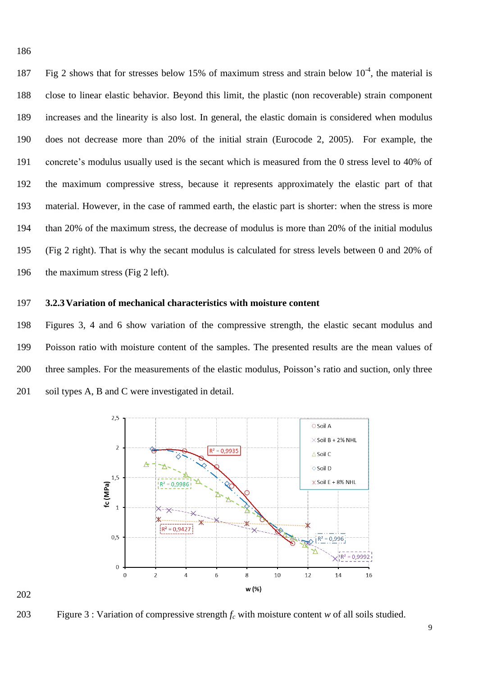187 Fig 2 shows that for stresses below 15% of maximum stress and strain below  $10^{-4}$ , the material is close to linear elastic behavior. Beyond this limit, the plastic (non recoverable) strain component increases and the linearity is also lost. In general, the elastic domain is considered when modulus does not decrease more than 20% of the initial strain (Eurocode 2, 2005). For example, the concrete's modulus usually used is the secant which is measured from the 0 stress level to 40% of the maximum compressive stress, because it represents approximately the elastic part of that material. However, in the case of rammed earth, the elastic part is shorter: when the stress is more than 20% of the maximum stress, the decrease of modulus is more than 20% of the initial modulus (Fig 2 right). That is why the secant modulus is calculated for stress levels between 0 and 20% of 196 the maximum stress (Fig 2 left).

## **3.2.3Variation of mechanical characteristics with moisture content**

 Figures 3, 4 and 6 show variation of the compressive strength, the elastic secant modulus and Poisson ratio with moisture content of the samples. The presented results are the mean values of three samples. For the measurements of the elastic modulus, Poisson's ratio and suction, only three soil types A, B and C were investigated in detail.



## 

Figure 3 : Variation of compressive strength *f<sup>c</sup>* with moisture content *w* of all soils studied.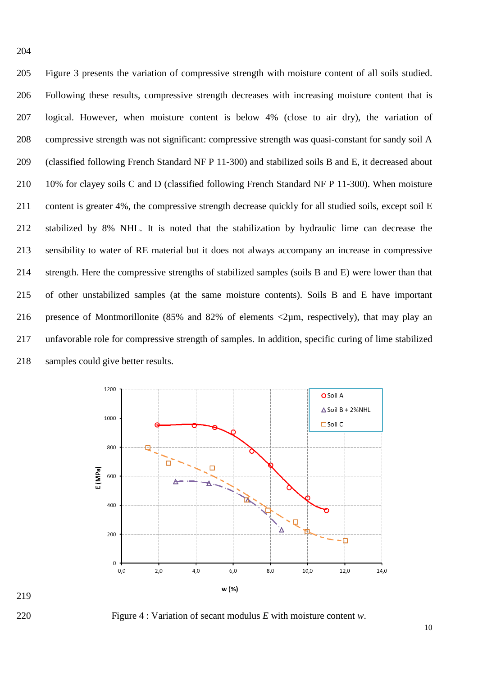Figure 3 presents the variation of compressive strength with moisture content of all soils studied. Following these results, compressive strength decreases with increasing moisture content that is logical. However, when moisture content is below 4% (close to air dry), the variation of compressive strength was not significant: compressive strength was quasi-constant for sandy soil A (classified following French Standard NF P 11-300) and stabilized soils B and E, it decreased about 10% for clayey soils C and D (classified following French Standard NF P 11-300). When moisture content is greater 4%, the compressive strength decrease quickly for all studied soils, except soil E stabilized by 8% NHL. It is noted that the stabilization by hydraulic lime can decrease the sensibility to water of RE material but it does not always accompany an increase in compressive strength. Here the compressive strengths of stabilized samples (soils B and E) were lower than that of other unstabilized samples (at the same moisture contents). Soils B and E have important 216 presence of Montmorillonite (85% and 82% of elements  $\langle 2\mu m,$  respectively), that may play an unfavorable role for compressive strength of samples. In addition, specific curing of lime stabilized samples could give better results.



<span id="page-10-0"></span>

Figure 4 : Variation of secant modulus *E* with moisture content *w*.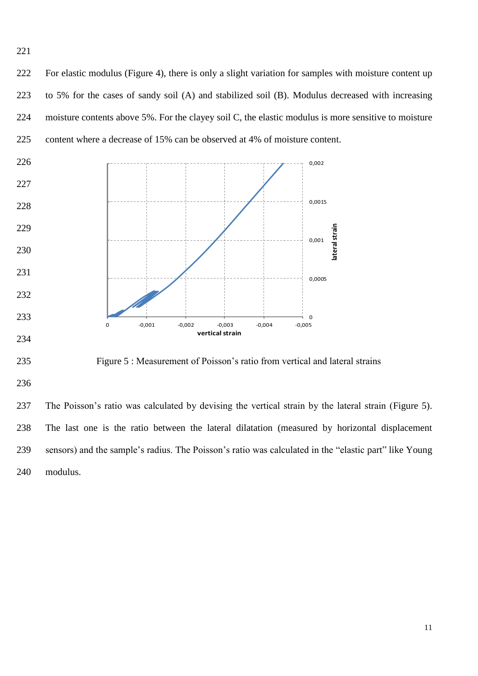For elastic modulus [\(Figure 4\)](#page-10-0), there is only a slight variation for samples with moisture content up to 5% for the cases of sandy soil (A) and stabilized soil (B). Modulus decreased with increasing moisture contents above 5%. For the clayey soil C, the elastic modulus is more sensitive to moisture content where a decrease of 15% can be observed at 4% of moisture content.



<span id="page-11-0"></span>Figure 5 : Measurement of Poisson's ratio from vertical and lateral strains

 The Poisson's ratio was calculated by devising the vertical strain by the lateral strain [\(Figure 5\)](#page-11-0). The last one is the ratio between the lateral dilatation (measured by horizontal displacement sensors) and the sample's radius. The Poisson's ratio was calculated in the "elastic part" like Young modulus.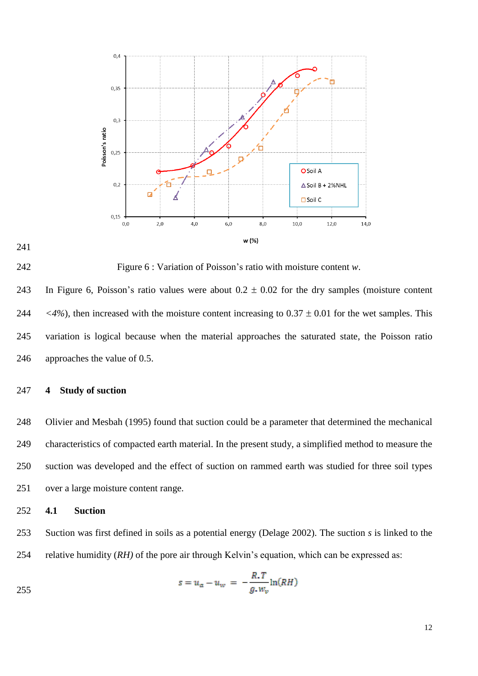



<span id="page-12-0"></span>Figure 6 : Variation of Poisson's ratio with moisture content *w*.

243 In [Figure 6,](#page-12-0) Poisson's ratio values were about  $0.2 \pm 0.02$  for the dry samples (moisture content 244  $\langle 4\% \rangle$ , then increased with the moisture content increasing to 0.37  $\pm$  0.01 for the wet samples. This variation is logical because when the material approaches the saturated state, the Poisson ratio approaches the value of 0.5.

#### **4 Study of suction**

 Olivier and Mesbah (1995) found that suction could be a parameter that determined the mechanical characteristics of compacted earth material. In the present study, a simplified method to measure the suction was developed and the effect of suction on rammed earth was studied for three soil types over a large moisture content range.

#### **4.1 Suction**

 Suction was first defined in soils as a potential energy (Delage 2002). The suction *s* is linked to the relative humidity (*RH)* of the pore air through Kelvin's equation, which can be expressed as:

$$
s = u_a - u_w = -\frac{R \cdot T}{g \cdot w_v} \ln(RH)
$$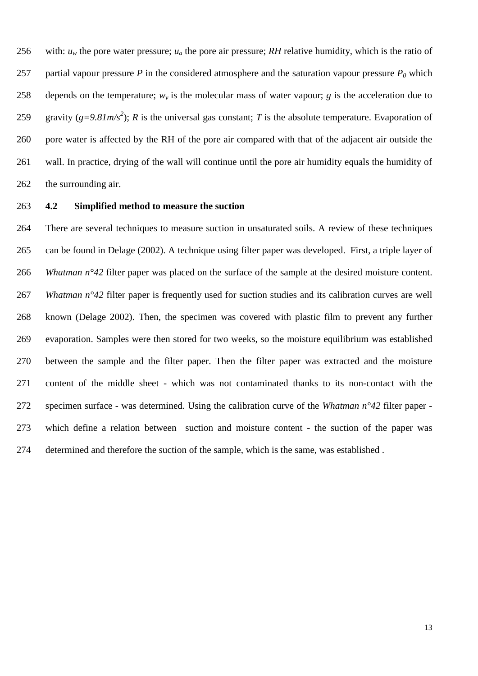256 with:  $u_w$  the pore water pressure;  $u_a$  the pore air pressure; *RH* relative humidity, which is the ratio of 257 partial vapour pressure *P* in the considered atmosphere and the saturation vapour pressure  $P_0$  which 258 depends on the temperature;  $w<sub>v</sub>$  is the molecular mass of water vapour; *g* is the acceleration due to 259 gravity ( $g=9.81m/s^2$ ); *R* is the universal gas constant; *T* is the absolute temperature. Evaporation of pore water is affected by the RH of the pore air compared with that of the adjacent air outside the wall. In practice, drying of the wall will continue until the pore air humidity equals the humidity of the surrounding air.

### **4.2 Simplified method to measure the suction**

 There are several techniques to measure suction in unsaturated soils. A review of these techniques can be found in Delage (2002). A technique using filter paper was developed. First, a triple layer of *Whatman n°42* filter paper was placed on the surface of the sample at the desired moisture content. *Whatman n°42* filter paper is frequently used for suction studies and its calibration curves are well known (Delage 2002). Then, the specimen was covered with plastic film to prevent any further evaporation. Samples were then stored for two weeks, so the moisture equilibrium was established between the sample and the filter paper. Then the filter paper was extracted and the moisture content of the middle sheet - which was not contaminated thanks to its non-contact with the specimen surface - was determined. Using the calibration curve of the *Whatman n°42* filter paper - which define a relation between suction and moisture content - the suction of the paper was determined and therefore the suction of the sample, which is the same, was established .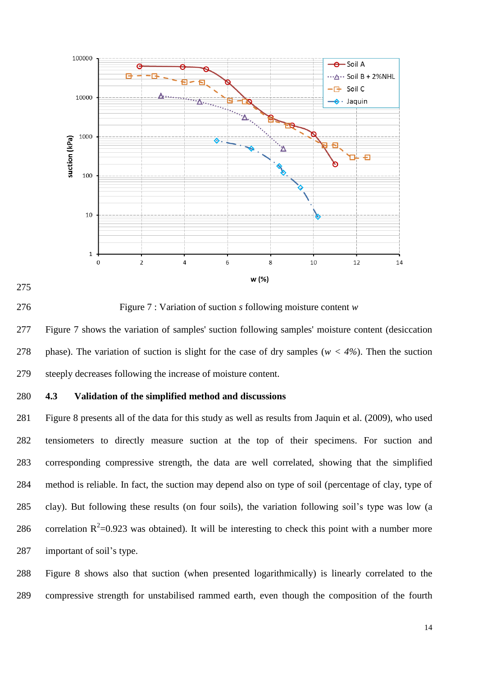

<span id="page-14-0"></span>

Figure 7 : Variation of suction *s* following moisture content *w*

 [Figure 7](#page-14-0) shows the variation of samples' suction following samples' moisture content (desiccation phase). The variation of suction is slight for the case of dry samples (*w < 4%*). Then the suction steeply decreases following the increase of moisture content.

#### **4.3 Validation of the simplified method and discussions**

 [Figure](#page-15-0) 8 presents all of the data for this study as well as results from Jaquin et al. (2009), who used tensiometers to directly measure suction at the top of their specimens. For suction and corresponding compressive strength, the data are well correlated, showing that the simplified method is reliable. In fact, the suction may depend also on type of soil (percentage of clay, type of clay). But following these results (on four soils), the variation following soil's type was low (a 286 correlation  $R^2$ =0.923 was obtained). It will be interesting to check this point with a number more important of soil's type.

 [Figure](#page-15-0) 8 shows also that suction (when presented logarithmically) is linearly correlated to the compressive strength for unstabilised rammed earth, even though the composition of the fourth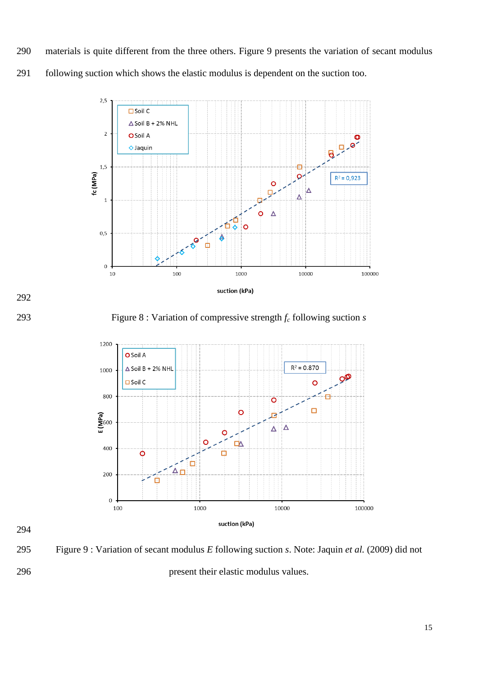materials is quite different from the three others. [Figure 9](#page-15-1) presents the variation of secant modulus following suction which shows the elastic modulus is dependent on the suction too.





<span id="page-15-0"></span>Figure 8 : Variation of compressive strength *f<sup>c</sup>* following suction *s*



<span id="page-15-1"></span>Figure 9 : Variation of secant modulus *E* following suction *s*. Note: Jaquin *et al.* (2009) did not

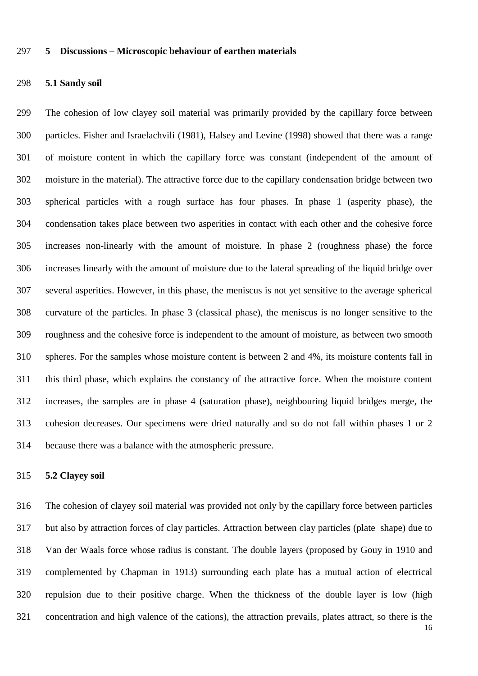#### **5 Discussions – Microscopic behaviour of earthen materials**

#### **5.1 Sandy soil**

 The cohesion of low clayey soil material was primarily provided by the capillary force between particles. Fisher and Israelachvili (1981), Halsey and [Levine](http://publish.aps.org/search/field/author/Levine_Alex_J) (1998) showed that there was a range of moisture content in which the capillary force was constant (independent of the amount of moisture in the material). The attractive force due to the capillary condensation bridge between two spherical particles with a rough surface has four phases. In phase 1 (asperity phase), the condensation takes place between two asperities in contact with each other and the cohesive force increases non-linearly with the amount of moisture. In phase 2 (roughness phase) the force increases linearly with the amount of moisture due to the lateral spreading of the liquid bridge over several asperities. However, in this phase, the meniscus is not yet sensitive to the average spherical curvature of the particles. In phase 3 (classical phase), the meniscus is no longer sensitive to the roughness and the cohesive force is independent to the amount of moisture, as between two smooth spheres. For the samples whose moisture content is between 2 and 4%, its moisture contents fall in this third phase, which explains the constancy of the attractive force. When the moisture content increases, the samples are in phase 4 (saturation phase), neighbouring liquid bridges merge, the cohesion decreases. Our specimens were dried naturally and so do not fall within phases 1 or 2 because there was a balance with the atmospheric pressure.

#### **5.2 Clayey soil**

 The cohesion of clayey soil material was provided not only by the capillary force between particles but also by attraction forces of clay particles. Attraction between clay particles (plate shape) due to Van der Waals force whose radius is constant. The double layers (proposed by [Gouy](http://en.wikipedia.org/wiki/Louis_Georges_Gouy) in 1910 and complemented by Chapman in 1913) surrounding each plate has a mutual action of electrical repulsion due to their positive charge. When the thickness of the double layer is low (high concentration and high valence of the cations), the attraction prevails, plates attract, so there is the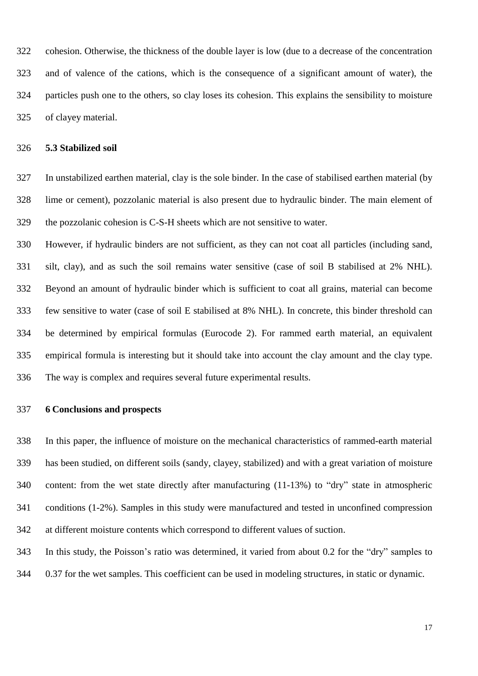cohesion. Otherwise, the thickness of the double layer is low (due to a decrease of the concentration and of valence of the cations, which is the consequence of a significant amount of water), the particles push one to the others, so clay loses its cohesion. This explains the sensibility to moisture of clayey material.

#### **5.3 Stabilized soil**

 In unstabilized earthen material, clay is the sole binder. In the case of stabilised earthen material (by lime or cement), pozzolanic material is also present due to hydraulic binder. The main element of the pozzolanic cohesion is C-S-H sheets which are not sensitive to water.

 However, if hydraulic binders are not sufficient, as they can not coat all particles (including sand, silt, clay), and as such the soil remains water sensitive (case of soil B stabilised at 2% NHL). Beyond an amount of hydraulic binder which is sufficient to coat all grains, material can become few sensitive to water (case of soil E stabilised at 8% NHL). In concrete, this binder threshold can be determined by empirical formulas (Eurocode 2). For rammed earth material, an equivalent empirical formula is interesting but it should take into account the clay amount and the clay type. The way is complex and requires several future experimental results.

## **6 Conclusions and prospects**

 In this paper, the influence of moisture on the mechanical characteristics of rammed-earth material has been studied, on different soils (sandy, clayey, stabilized) and with a great variation of moisture content: from the wet state directly after manufacturing (11-13%) to "dry" state in atmospheric conditions (1-2%). Samples in this study were manufactured and tested in unconfined compression at different moisture contents which correspond to different values of suction.

In this study, the Poisson's ratio was determined, it varied from about 0.2 for the "dry" samples to

0.37 for the wet samples. This coefficient can be used in modeling structures, in static or dynamic.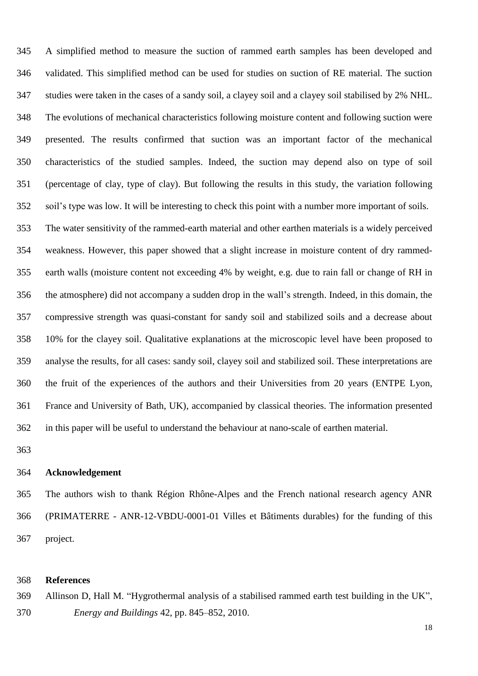A simplified method to measure the suction of rammed earth samples has been developed and validated. This simplified method can be used for studies on suction of RE material. The suction studies were taken in the cases of a sandy soil, a clayey soil and a clayey soil stabilised by 2% NHL. The evolutions of mechanical characteristics following moisture content and following suction were presented. The results confirmed that suction was an important factor of the mechanical characteristics of the studied samples. Indeed, the suction may depend also on type of soil (percentage of clay, type of clay). But following the results in this study, the variation following soil's type was low. It will be interesting to check this point with a number more important of soils. The water sensitivity of the rammed-earth material and other earthen materials is a widely perceived weakness. However, this paper showed that a slight increase in moisture content of dry rammed- earth walls (moisture content not exceeding 4% by weight, e.g. due to rain fall or change of RH in the atmosphere) did not accompany a sudden drop in the wall's strength. Indeed, in this domain, the compressive strength was quasi-constant for sandy soil and stabilized soils and a decrease about 10% for the clayey soil. Qualitative explanations at the microscopic level have been proposed to analyse the results, for all cases: sandy soil, clayey soil and stabilized soil. These interpretations are the fruit of the experiences of the authors and their Universities from 20 years (ENTPE Lyon, France and University of Bath, UK), accompanied by classical theories. The information presented in this paper will be useful to understand the behaviour at nano-scale of earthen material.

#### **Acknowledgement**

 The authors wish to thank Région Rhône-Alpes and the French national research agency ANR (PRIMATERRE - ANR-12-VBDU-0001-01 Villes et Bâtiments durables) for the funding of this project.

## **References**

 Allinson D, Hall M. "Hygrothermal analysis of a stabilised rammed earth test building in the UK", *Energy and Buildings* 42, pp. 845–852, 2010.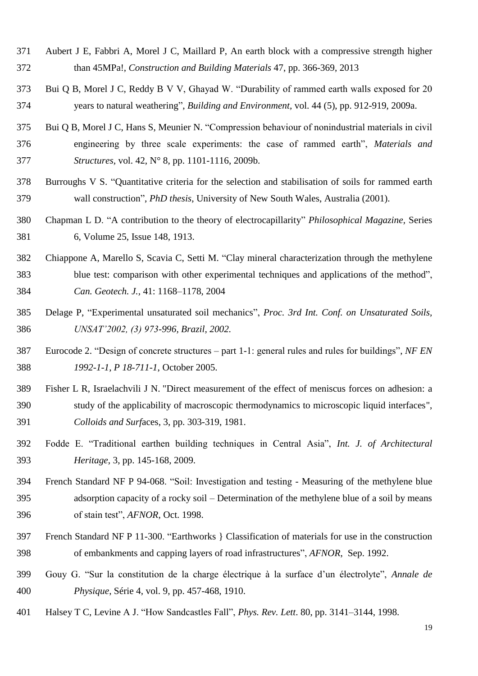- Aubert J E, Fabbri A, Morel J C, Maillard P, An earth block with a compressive strength higher than 45MPa!, *Construction and Building Materials* 47, pp. 366-369, 2013
- Bui Q B, Morel J C, Reddy B V V, Ghayad W. "Durability of rammed earth walls exposed for 20 years to natural weathering", *Building and Environment,* vol. 44 (5), pp. 912-919, 2009a.
- Bui Q B, Morel J C, Hans S, Meunier N. "Compression behaviour of nonindustrial materials in civil engineering by three scale experiments: the case of rammed earth", *Materials and Structures,* vol. 42, N° 8, pp. 1101-1116, 2009b.
- Burroughs V S. "Quantitative criteria for the selection and stabilisation of soils for rammed earth wall construction", *PhD thesis*, University of New South Wales, Australia (2001).
- Chapman L D. "A contribution to the theory of electrocapillarity" *Philosophical Magazine,* Series 6, [Volume 25,](http://www.tandfonline.com/loi/tphm17?open=25#vol_25) [Issue 148,](http://www.tandfonline.com/toc/tphm17/25/148) 1913.
- Chiappone A, Marello S, Scavia C, Setti M. "Clay mineral characterization through the methylene blue test: comparison with other experimental techniques and applications of the method", *Can. Geotech. J.,* 41: 1168–1178, 2004
- Delage P, "Experimental unsaturated soil mechanics", *Proc. 3rd Int. Conf. on Unsaturated Soils, UNSAT'2002, (3) 973-996, Brazil, 2002.*
- Eurocode 2. "Design of concrete structures part 1-1: general rules and rules for buildings", *NF EN 1992-1-1*, *P 18-711-1*, October 2005.
- Fisher L R, Israelachvili J N. "Direct measurement of the effect of meniscus forces on adhesion: a study of the applicability of macroscopic thermodynamics to microscopic liquid interfaces", *Colloids and Surf*aces, 3, pp. 303-319, 1981.
- Fodde E. "Traditional earthen building techniques in Central Asia", *Int. J. of Architectural Heritage*, 3, pp. 145-168, 2009.
- French Standard NF P 94-068. "Soil: Investigation and testing Measuring of the methylene blue adsorption capacity of a rocky soil – Determination of the methylene blue of a soil by means of stain test", *AFNOR*, Oct. 1998.
- French Standard NF P 11-300. "Earthworks } Classification of materials for use in the construction of embankments and capping layers of road infrastructures", *AFNOR*, Sep. 1992.
- Gouy G. "Sur la constitution de la charge électrique à la surface d'un électrolyte", *Annale de Physique*, Série 4, vol. 9, pp. 457-468, 1910.
- Halsey T C, Levine A J. "How Sandcastles Fall", *Phys. Rev. Lett*. 80, pp. 3141–3144, 1998.